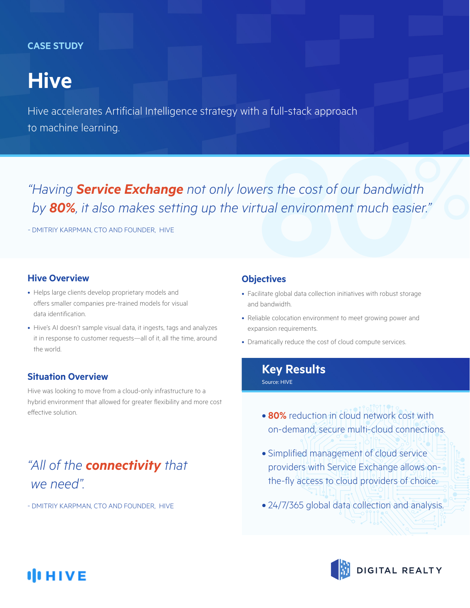### **CASE STUDY**

# **Hive**

Hive accelerates Artificial Intelligence strategy with a full-stack approach to machine learning.

*" Having by 80%, it also makes setting up the virtual environment much easier."* **Service Exchange** not only lowers the cost of our bandwidth<br> **Service Exchange** not only lowers the cost of our bandwidth<br>
MAN, CTO AND FOUNDER, HIVE<br> **BOD**<br> **800 CONDER, HIVE**<br> **800 CONDER, ANDER AND FOUNDER, HIVE** 

- DMITRIY KARPMAN, CTO AND FOUNDER, HIVE

### **Hive Overview**

- Helps large clients develop proprietary models and offers smaller companies pre-trained models for visual data identification.
- Hive's AI doesn't sample visual data, it ingests, tags and analyzes it in response to customer requests—all of it, all the time, around the world.

### **Situation Overview**

Hive was looking to move from a cloud-only infrastructure to a hybrid environment that allowed for greater flexibility and more cost effective solution.

## *"All of the connectivity that we need".*

- DMITRIY KARPMAN, CTO AND FOUNDER, HIVE

### **Objectives**

- Facilitate global data collection initiatives with robust storage and bandwidth.
- Reliable colocation environment to meet growing power and expansion requirements.
- Dramatically reduce the cost of cloud compute services.

### **Key Results**

Source: HIVE

- **80%** reduction in cloud network cost with on-demand, secure multi-cloud connections.
- Simplified management of cloud service providers with Service Exchange allows onthe-fly access to cloud providers of choice.
- 24/7/365 global data collection and analysis.